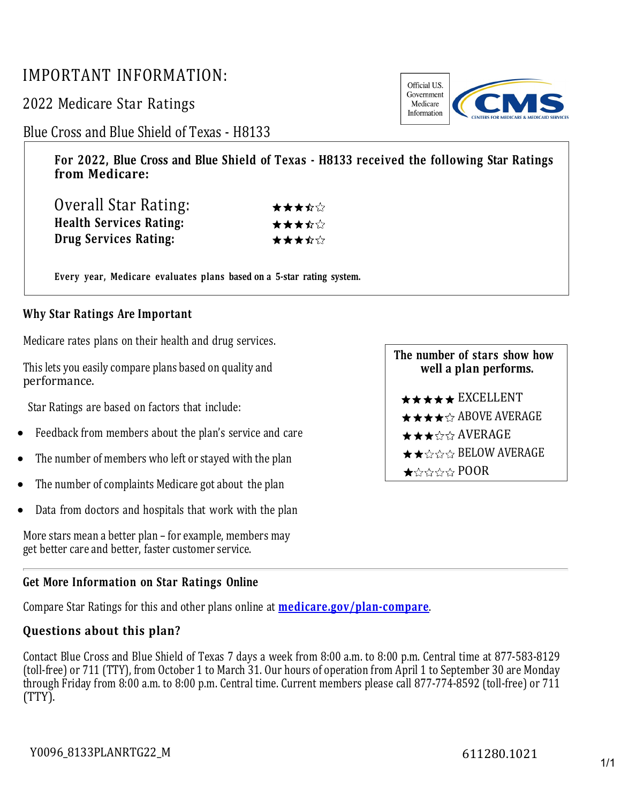## IMPORTANT INFORMATION:

2022 Medicare Star Ratings

Blue Cross and Blue Shield of Texas - H8133

**For 2022, Blue Cross and Blue Shield of Texas - H8133 received the following Star Ratings from Medicare:**

| Overall Star Rating:           | ★★★☆☆ |
|--------------------------------|-------|
| <b>Health Services Rating:</b> | ★★★☆☆ |
| Drug Services Rating:          | ★★★☆☆ |

**Every year, Medicare evaluates plans based on a 5-star rating system.**

## **Why Star Ratings Are Important**

Medicare rates plans on their health and drug services.

This lets you easily compare plans based on quality and performance.

Star Ratings are based on factors that include:

- Feedback from members about the plan's service and care
- The number of members who left or stayed with the plan
- The number of complaints Medicare got about the plan
- Data from doctors and hospitals that work with the plan

More stars mean a better plan – for example, members may get better care and better, faster customer service.

## **Get More Information on Star Ratings Online**

Compare Star Ratings for this and other plans online at **[medicare.gov/plan-compare](http://www.medicare.gov/plan-compare/)**.

## **Questions about this plan?**

Contact Blue Cross and Blue Shield of Texas 7 days a week from 8:00 a.m. to 8:00 p.m. Central time at 877-583-8129 (toll-free) or 711 (TTY), from October 1 to March 31. Our hours of operation from April 1 to September 30 are Monday through Friday from 8:00 a.m. to 8:00 p.m. Central time. Current members please call 877-774-8592 (toll-free) or 711 (TTY).

**The number of stars show how well a plan performs.**  $\star \star \star \star$  EXCELLENT  $\star \star \star \star \mathbb{R}$  ABOVE AVERAGE ★★★☆☆ AVERAGE  $\star \star \sim \times \times$  BELOW AVERAGE  $\star$  the state  $POR$